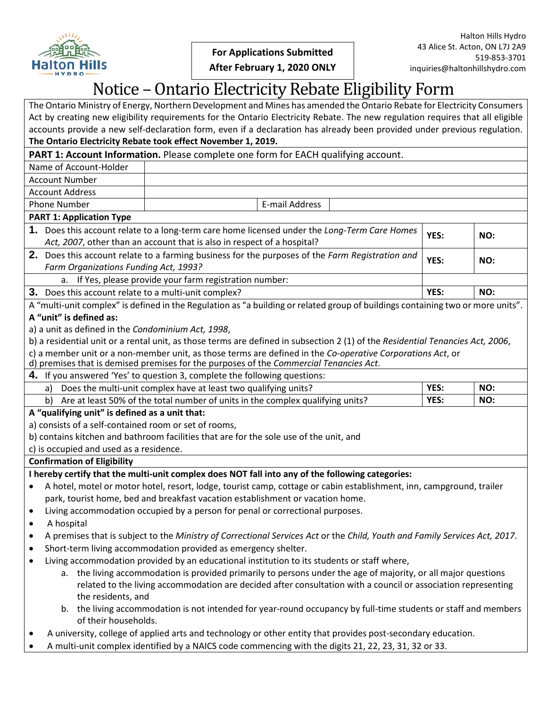

[Type text] **After February 1, 2020 ONLY**

# Notice – Ontario Electricity Rebate Eligibility Form

The Ontario Ministry of Energy, Northern Development and Mines has amended the Ontario Rebate for Electricity Consumers Act by creating new eligibility requirements for the Ontario Electricity Rebate. The new regulation requires that all eligible accounts provide a new self-declaration form, even if a declaration has already been provided under previous regulation. **The Ontario Electricity Rebate took effect November 1, 2019.**

### **PART 1: Account Information.** Please complete one form for EACH qualifying account.

Name of Account-Holder Account Number

Account Address

Phone Number **Number E-mail Address** 

#### **PART 1: Application Type**

**1.** Does this account relate to a long-term care home licensed under the *Long-Term Care Homes Act, 2007*, other than an account that is also in respect of a hospital? YES: NO:

**2.** Does this account relate to a farming business for the purposes of the *Farm Registration and Farm Organizations Funding Act, 1993? Commission the purposes of the Farm Registration and* **YES:** NO: **NO: NO: NO: WES:** NO: **NO: WES:** NO: **NO: WES:** NO: **NO: NO: NO: WES:** NO: **NO: WES:** NO: **NO:**

If Yes, please provide your farm registration number:

**3.** Does this account relate to a multi-unit complex? **YES: YES: NO: NO: NO: NO: NO: WES: NO: NO: NO: WES: NO: NO: WES: NO: NO: WES: NO: WES: NO: WES: WES: WES: WES: WES:** 

A "multi-unit complex" is defined in the Regulation as "a building or related group of buildings containing two or more units". **A "unit" is defined as:** 

a) a unit as defined in the *Condominium Act, 1998*,

- b) a residential unit or a rental unit, as those terms are defined in subsection 2 (1) of the *Residential Tenancies Act, 2006*,
- c) a member unit or a non-member unit, as those terms are defined in the *Co-operative Corporations Act*, or
- d) premises that is demised premises for the purposes of the *Commercial Tenancies Act*.
- **4.** If you answered 'Yes' to question 3, complete the following questions:

| Does the multi-unit complex have at least two qualifying units?                   | YES: | NO. |
|-----------------------------------------------------------------------------------|------|-----|
| b) Are at least 50% of the total number of units in the complex qualifying units? | YES: | NO: |
| A "qualifying unit" is defined as a unit that:                                    |      |     |

#### **A "qualifying unit" is defined as a unit that:**

a) consists of a self-contained room or set of rooms,

b) contains kitchen and bathroom facilities that are for the sole use of the unit, and

c) is occupied and used as a residence.

## **Confirmation of Eligibility**

**I hereby certify that the multi-unit complex does NOT fall into any of the following categories:**

- A hotel, motel or motor hotel, resort, lodge, tourist camp, cottage or cabin establishment, inn, campground, trailer park, tourist home, bed and breakfast vacation establishment or vacation home.
- Living accommodation occupied by a person for penal or correctional purposes.

• A hospital

- A premises that is subject to the *Ministry of Correctional Services Act* or the *Child, Youth and Family Services Act, 2017*.
- Short-term living accommodation provided as emergency shelter.
- Living accommodation provided by an educational institution to its students or staff where,
	- a. the living accommodation is provided primarily to persons under the age of majority, or all major questions related to the living accommodation are decided after consultation with a council or association representing the residents, and
	- b. the living accommodation is not intended for year-round occupancy by full-time students or staff and members of their households.
- A university, college of applied arts and technology or other entity that provides post-secondary education.
- A multi-unit complex identified by a NAICS code commencing with the digits 21, 22, 23, 31, 32 or 33.